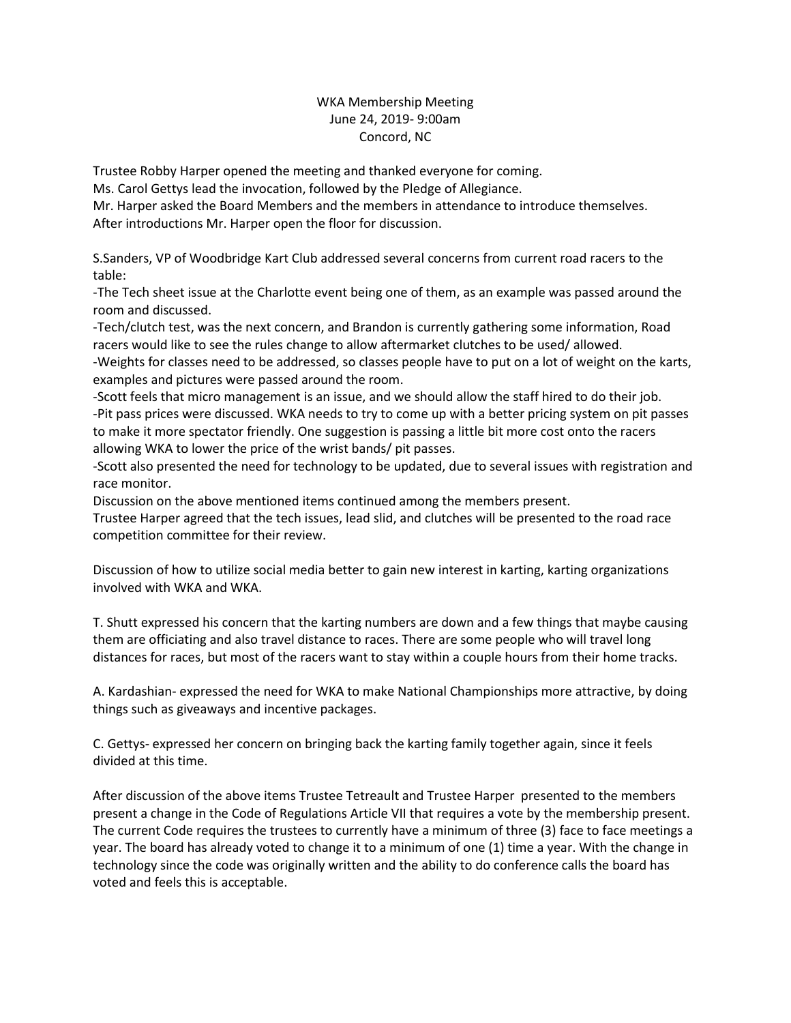## WKA Membership Meeting June 24, 2019- 9:00am Concord, NC

Trustee Robby Harper opened the meeting and thanked everyone for coming.

Ms. Carol Gettys lead the invocation, followed by the Pledge of Allegiance.

Mr. Harper asked the Board Members and the members in attendance to introduce themselves. After introductions Mr. Harper open the floor for discussion.

S.Sanders, VP of Woodbridge Kart Club addressed several concerns from current road racers to the table:

-The Tech sheet issue at the Charlotte event being one of them, as an example was passed around the room and discussed.

-Tech/clutch test, was the next concern, and Brandon is currently gathering some information, Road racers would like to see the rules change to allow aftermarket clutches to be used/ allowed.

-Weights for classes need to be addressed, so classes people have to put on a lot of weight on the karts, examples and pictures were passed around the room.

-Scott feels that micro management is an issue, and we should allow the staff hired to do their job. -Pit pass prices were discussed. WKA needs to try to come up with a better pricing system on pit passes to make it more spectator friendly. One suggestion is passing a little bit more cost onto the racers allowing WKA to lower the price of the wrist bands/ pit passes.

-Scott also presented the need for technology to be updated, due to several issues with registration and race monitor.

Discussion on the above mentioned items continued among the members present.

Trustee Harper agreed that the tech issues, lead slid, and clutches will be presented to the road race competition committee for their review.

Discussion of how to utilize social media better to gain new interest in karting, karting organizations involved with WKA and WKA.

T. Shutt expressed his concern that the karting numbers are down and a few things that maybe causing them are officiating and also travel distance to races. There are some people who will travel long distances for races, but most of the racers want to stay within a couple hours from their home tracks.

A. Kardashian- expressed the need for WKA to make National Championships more attractive, by doing things such as giveaways and incentive packages.

C. Gettys- expressed her concern on bringing back the karting family together again, since it feels divided at this time.

After discussion of the above items Trustee Tetreault and Trustee Harper presented to the members present a change in the Code of Regulations Article VII that requires a vote by the membership present. The current Code requires the trustees to currently have a minimum of three (3) face to face meetings a year. The board has already voted to change it to a minimum of one (1) time a year. With the change in technology since the code was originally written and the ability to do conference calls the board has voted and feels this is acceptable.